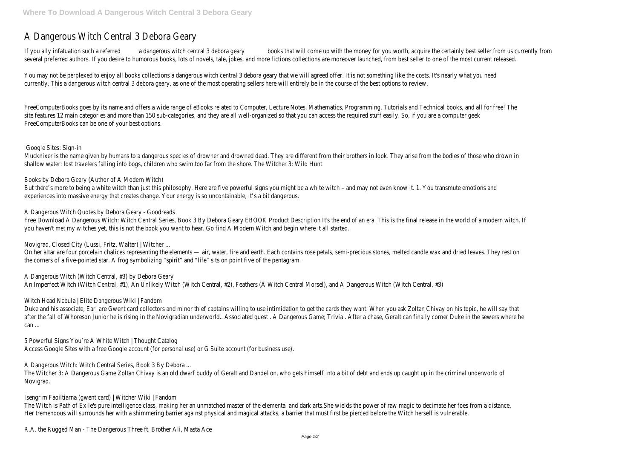## A Dangerous Witch Central 3 Debora Geary

If you ally infatuation such a referred a dangerous witch central 3 debora geary books that will come up with the money for you worth, acquire the certainly best seller from us currently from several preferred authors. If you desire to humorous books, lots of novels, tale, jokes, and more fictions collections are moreover launched, from best seller to one of the most current released.

You may not be perplexed to enjoy all books collections a dangerous witch central 3 debora geary that we will agreed offer. It is not something like the costs. It's nearly what you need currently. This a dangerous witch central 3 debora geary, as one of the most operating sellers here will entirely be in the course of the best options to review.

Mucknixer is the name given by humans to a dangerous species of drowner and drowned dead. They are different from their brothers in look. They arise from the bodies of those who drown in shallow water: lost travelers falling into bogs, children who swim too far from the shore. The Witcher 3: Wild Hunt

But there's more to being a white witch than just this philosophy. Here are five powerful signs you might be a white witch – and may not even know it. 1. You transmute emotions and experiences into massive energy that creates change. Your energy is so uncontainable, it's a bit dangerous.

FreeComputerBooks goes by its name and offers a wide range of eBooks related to Computer, Lecture Notes, Mathematics, Programming, Tutorials and Technical books, and all for free! The site features 12 main categories and more than 150 sub-categories, and they are all well-organized so that you can access the required stuff easily. So, if you are a computer geek FreeComputerBooks can be one of your best options.

Free Download A Dangerous Witch: Witch Central Series, Book 3 By Debora Geary EBOOK Product Description It's the end of an era. This is the final release in the world of a modern witch. If you haven't met my witches yet, this is not the book you want to hear. Go find A Modern Witch and begin where it all started.

## Google Sites: Sign-in

On her altar are four porcelain chalices representing the elements — air, water, fire and earth. Each contains rose petals, semi-precious stones, melted candle wax and dried leaves. They rest on the corners of a five-pointed star. A frog symbolizing "spirit" and "life" sits on point five of the pentagram.

Books by Debora Geary (Author of A Modern Witch)

Duke and his associate, Earl are Gwent card collectors and minor thief captains willing to use intimidation to get the cards they want. When you ask Zoltan Chivay on his topic, he will say that after the fall of Whoreson Junior he is rising in the Novigradian underworld. Associated quest. A Dangerous Game; Trivia. After a chase, Geralt can finally corner Duke in the sewers where he can ...

A Dangerous Witch Quotes by Debora Geary - Goodreads

Novigrad, Closed City (Lussi, Fritz, Walter) | Witcher ...

A Dangerous Witch (Witch Central, #3) by Debora Geary An Imperfect Witch (Witch Central, #1), An Unlikely Witch (Witch Central, #2), Feathers (A Witch Central Morsel), and A Dangerous Witch (Witch Central, #3)

Witch Head Nebula | Elite Dangerous Wiki | Fandom

5 Powerful Signs You're A White Witch | Thought Catalog Access Google Sites with a free Google account (for personal use) or G Suite account (for business use).

A Dangerous Witch: Witch Central Series, Book 3 By Debora ...

The Witcher 3: A Dangerous Game Zoltan Chivay is an old dwarf buddy of Geralt and Dandelion, who gets himself into a bit of debt and ends up caught up in the criminal underworld of Novigrad.

Isengrim Faoiltiarna (gwent card) | Witcher Wiki | Fandom

The Witch is Path of Exile's pure intelligence class, making her an unmatched master of the elemental and dark arts.She wields the power of raw magic to decimate her foes from a distance. Her tremendous will surrounds her with a shimmering barrier against physical and magical attacks, a barrier that must first be pierced before the Witch herself is vulnerable.